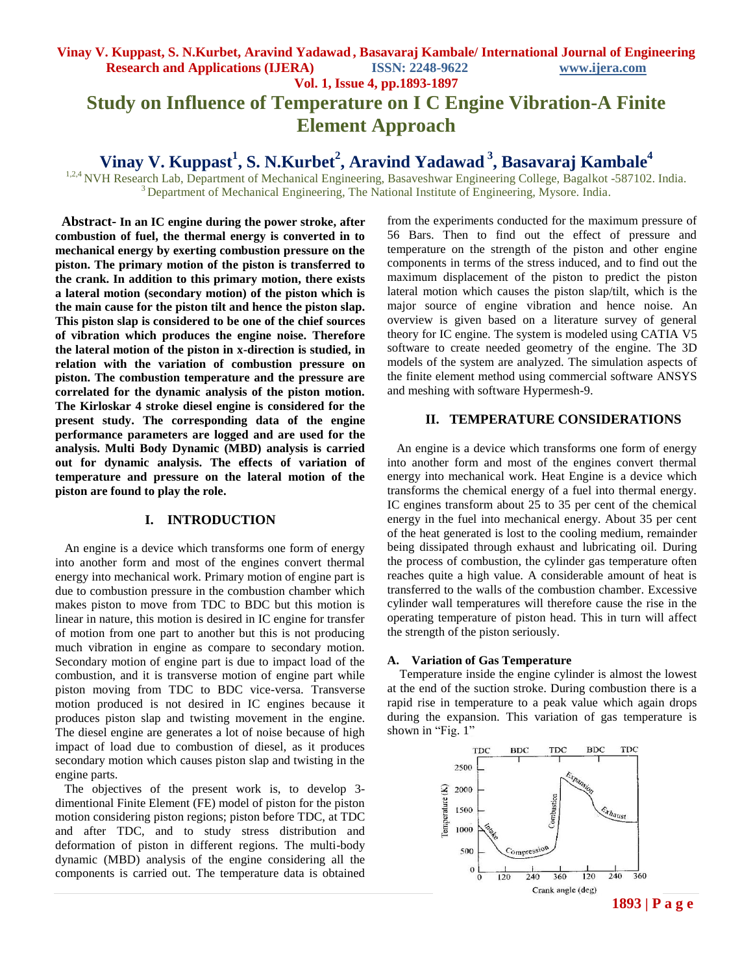## **Vinay V. Kuppast, S. N.Kurbet, Aravind Yadawad , Basavaraj Kambale/ International Journal of Engineering Research and Applications (IJERA) ISSN: 2248-9622 www.ijera.com Vol. 1, Issue 4, pp.1893-1897 Study on Influence of Temperature on I C Engine Vibration-A Finite Element Approach**

# **Vinay V. Kuppast<sup>1</sup> , S. N.Kurbet<sup>2</sup> , Aravind Yadawad <sup>3</sup> , Basavaraj Kambale<sup>4</sup>**

<sup>1,2,4</sup> NVH Research Lab, Department of Mechanical Engineering, Basaveshwar Engineering College, Bagalkot -587102. India.  $3$  Department of Mechanical Engineering, The National Institute of Engineering, Mysore. India.

 **Abstract- In an IC engine during the power stroke, after combustion of fuel, the thermal energy is converted in to mechanical energy by exerting combustion pressure on the piston. The primary motion of the piston is transferred to the crank. In addition to this primary motion, there exists a lateral motion (secondary motion) of the piston which is the main cause for the piston tilt and hence the piston slap. This piston slap is considered to be one of the chief sources of vibration which produces the engine noise. Therefore the lateral motion of the piston in x-direction is studied, in relation with the variation of combustion pressure on piston. The combustion temperature and the pressure are correlated for the dynamic analysis of the piston motion. The Kirloskar 4 stroke diesel engine is considered for the present study. The corresponding data of the engine performance parameters are logged and are used for the analysis. Multi Body Dynamic (MBD) analysis is carried out for dynamic analysis. The effects of variation of temperature and pressure on the lateral motion of the piston are found to play the role.** 

### **I. INTRODUCTION**

 An engine is a device which transforms one form of energy into another form and most of the engines convert thermal energy into mechanical work. Primary motion of engine part is due to combustion pressure in the combustion chamber which makes piston to move from TDC to BDC but this motion is linear in nature, this motion is desired in IC engine for transfer of motion from one part to another but this is not producing much vibration in engine as compare to secondary motion. Secondary motion of engine part is due to impact load of the combustion, and it is transverse motion of engine part while piston moving from TDC to BDC vice-versa. Transverse motion produced is not desired in IC engines because it produces piston slap and twisting movement in the engine. The diesel engine are generates a lot of noise because of high impact of load due to combustion of diesel, as it produces secondary motion which causes piston slap and twisting in the engine parts.

 The objectives of the present work is, to develop 3 dimentional Finite Element (FE) model of piston for the piston motion considering piston regions; piston before TDC, at TDC and after TDC, and to study stress distribution and deformation of piston in different regions. The multi-body dynamic (MBD) analysis of the engine considering all the components is carried out. The temperature data is obtained

from the experiments conducted for the maximum pressure of 56 Bars. Then to find out the effect of pressure and temperature on the strength of the piston and other engine components in terms of the stress induced, and to find out the maximum displacement of the piston to predict the piston lateral motion which causes the piston slap/tilt, which is the major source of engine vibration and hence noise. An overview is given based on a literature survey of general theory for IC engine. The system is modeled using CATIA V5 software to create needed geometry of the engine. The 3D models of the system are analyzed. The simulation aspects of the finite element method using commercial software ANSYS and meshing with software Hypermesh-9.

### **II. TEMPERATURE CONSIDERATIONS**

 An engine is a device which transforms one form of energy into another form and most of the engines convert thermal energy into mechanical work. Heat Engine is a device which transforms the chemical energy of a fuel into thermal energy. IC engines transform about 25 to 35 per cent of the chemical energy in the fuel into mechanical energy. About 35 per cent of the heat generated is lost to the cooling medium, remainder being dissipated through exhaust and lubricating oil. During the process of combustion, the cylinder gas temperature often reaches quite a high value. A considerable amount of heat is transferred to the walls of the combustion chamber. Excessive cylinder wall temperatures will therefore cause the rise in the operating temperature of piston head. This in turn will affect the strength of the piston seriously.

#### **A. Variation of Gas Temperature**

Temperature inside the engine cylinder is almost the lowest at the end of the suction stroke. During combustion there is a rapid rise in temperature to a peak value which again drops during the expansion. This variation of gas temperature is shown in "Fig. 1"

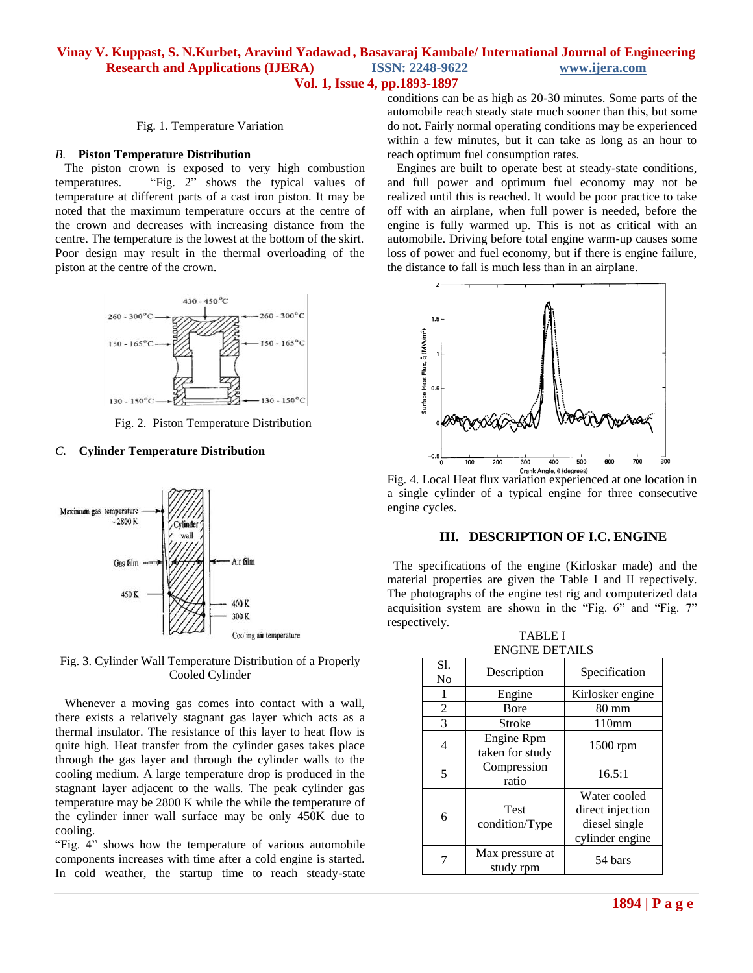### **Vinay V. Kuppast, S. N.Kurbet, Aravind Yadawad , Basavaraj Kambale/ International Journal of Engineering Research and Applications (IJERA) ISSN: 2248-9622 www.ijera.com Vol. 1, Issue 4, pp.1893-1897**

Fig. 1. Temperature Variation

#### *B.* **Piston Temperature Distribution**

 The piston crown is exposed to very high combustion temperatures. "Fig. 2" shows the typical values of temperature at different parts of a cast iron piston. It may be noted that the maximum temperature occurs at the centre of the crown and decreases with increasing distance from the centre. The temperature is the lowest at the bottom of the skirt. Poor design may result in the thermal overloading of the piston at the centre of the crown.



Fig. 2. Piston Temperature Distribution

#### *C.* **Cylinder Temperature Distribution**



Fig. 3. Cylinder Wall Temperature Distribution of a Properly Cooled Cylinder

 Whenever a moving gas comes into contact with a wall, there exists a relatively stagnant gas layer which acts as a thermal insulator. The resistance of this layer to heat flow is quite high. Heat transfer from the cylinder gases takes place through the gas layer and through the cylinder walls to the cooling medium. A large temperature drop is produced in the stagnant layer adjacent to the walls. The peak cylinder gas temperature may be 2800 K while the while the temperature of the cylinder inner wall surface may be only 450K due to cooling.

"Fig. 4" shows how the temperature of various automobile components increases with time after a cold engine is started. In cold weather, the startup time to reach steady-state

conditions can be as high as 20-30 minutes. Some parts of the automobile reach steady state much sooner than this, but some do not. Fairly normal operating conditions may be experienced within a few minutes, but it can take as long as an hour to reach optimum fuel consumption rates.

 Engines are built to operate best at steady-state conditions, and full power and optimum fuel economy may not be realized until this is reached. It would be poor practice to take off with an airplane, when full power is needed, before the engine is fully warmed up. This is not as critical with an automobile. Driving before total engine warm-up causes some loss of power and fuel economy, but if there is engine failure, the distance to fall is much less than in an airplane.



Crank Angle, 0 (degrees)<br>Fig. 4. Local Heat flux variation experienced at one location in a single cylinder of a typical engine for three consecutive engine cycles.

#### **III. DESCRIPTION OF I.C. ENGINE**

 The specifications of the engine (Kirloskar made) and the material properties are given the Table I and II repectively. The photographs of the engine test rig and computerized data acquisition system are shown in the "Fig. 6" and "Fig. 7" respectively.

| S1.<br>N <sub>o</sub> | Description                   | Specification                                                        |  |
|-----------------------|-------------------------------|----------------------------------------------------------------------|--|
| 1                     | Engine                        | Kirlosker engine                                                     |  |
| $\overline{2}$        | <b>B</b> ore                  | $80 \text{ mm}$                                                      |  |
| 3                     | Stroke                        | 110mm                                                                |  |
| 4                     | Engine Rpm<br>taken for study | 1500 rpm                                                             |  |
| 5                     | Compression<br>ratio          | 16.5:1                                                               |  |
| 6                     | <b>Test</b><br>condition/Type | Water cooled<br>direct injection<br>diesel single<br>cylinder engine |  |
|                       | Max pressure at<br>study rpm  | 54 bars                                                              |  |

TABLE I ENGINE DETAILS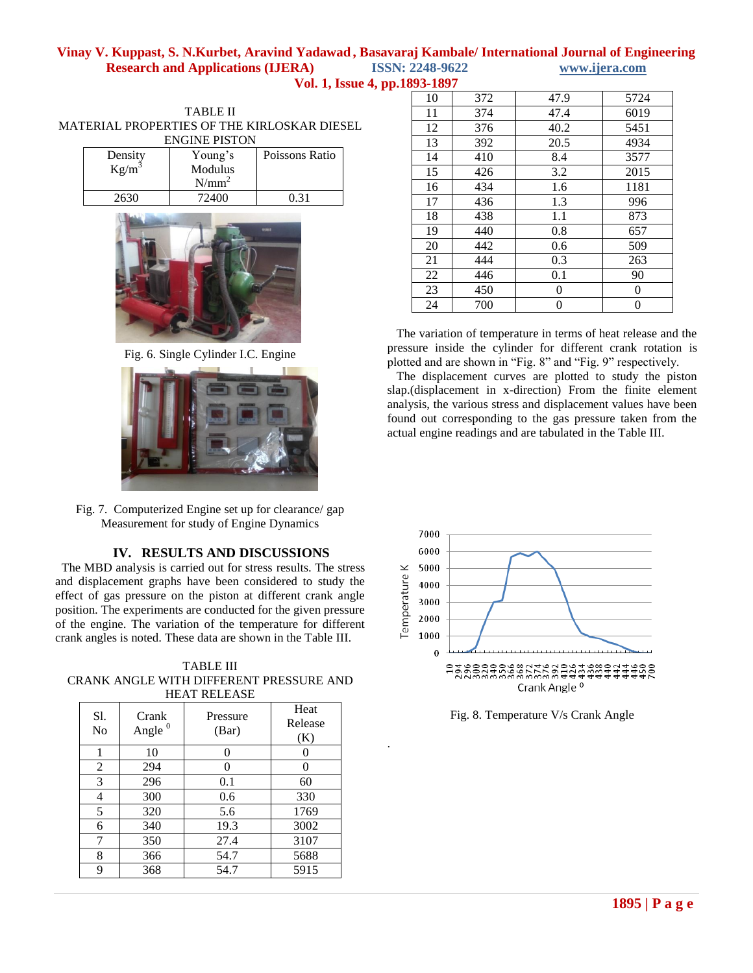## **Vinay V. Kuppast, S. N.Kurbet, Aravind Yadawad , Basavaraj Kambale/ International Journal of Engineering Research and Applications (IJERA) ISSN: 2248-9622 www.ijera.com**

|  | <b>Vol. 1, Issue 4, pp.1893-1897</b> |
|--|--------------------------------------|
|--|--------------------------------------|

.

| TARLE II                                    |         |                                        |                |  |  |
|---------------------------------------------|---------|----------------------------------------|----------------|--|--|
| MATERIAL PROPERTIES OF THE KIRLOSKAR DIESEL |         |                                        |                |  |  |
| <b>ENGINE PISTON</b>                        |         |                                        |                |  |  |
|                                             | Dongity | $V_{\alpha \nu \alpha \alpha' \alpha}$ | $\overline{D}$ |  |  |

| Density<br>$Kg/m^3$ | Young's<br>Modulus<br>$N/mm^2$ | Poissons Ratio |  |
|---------------------|--------------------------------|----------------|--|
| 2630                | 72400                          | 0 31           |  |



Fig. 6. Single Cylinder I.C. Engine



Fig. 7. Computerized Engine set up for clearance/ gap Measurement for study of Engine Dynamics

## **IV. RESULTS AND DISCUSSIONS**

 The MBD analysis is carried out for stress results. The stress and displacement graphs have been considered to study the effect of gas pressure on the piston at different crank angle position. The experiments are conducted for the given pressure of the engine. The variation of the temperature for different crank angles is noted. These data are shown in the Table III.

TABLE III CRANK ANGLE WITH DIFFERENT PRESSURE AND HEAT RELEASE

| S1.<br>N <sub>0</sub> | Crank<br>Angle $0$ | Pressure<br>(Bar) | Heat<br>Release<br>(K) |
|-----------------------|--------------------|-------------------|------------------------|
| 1                     | 10                 | 0                 |                        |
| 2                     | 294                | 0                 |                        |
| 3                     | 296                | 0.1               | 60                     |
| 4                     | 300                | 0.6               | 330                    |
| 5                     | 320                | 5.6               | 1769                   |
| 6                     | 340                | 19.3              | 3002                   |
| 7                     | 350                | 27.4              | 3107                   |
| 8                     | 366                | 54.7              | 5688                   |
| 9                     | 368                | 54.7              | 5915                   |

| ,,,,,,, |     |      |                |
|---------|-----|------|----------------|
| 10      | 372 | 47.9 | 5724           |
| 11      | 374 | 47.4 | 6019           |
| 12      | 376 | 40.2 | 5451           |
| 13      | 392 | 20.5 | 4934           |
| 14      | 410 | 8.4  | 3577           |
| 15      | 426 | 3.2  | 2015           |
| 16      | 434 | 1.6  | 1181           |
| 17      | 436 | 1.3  | 996            |
| 18      | 438 | 1.1  | 873            |
| 19      | 440 | 0.8  | 657            |
| 20      | 442 | 0.6  | 509            |
| 21      | 444 | 0.3  | 263            |
| 22      | 446 | 0.1  | 90             |
| 23      | 450 | 0    | $\overline{0}$ |
| 24      | 700 | 0    | 0              |

 The variation of temperature in terms of heat release and the pressure inside the cylinder for different crank rotation is plotted and are shown in "Fig. 8" and "Fig. 9" respectively.

 The displacement curves are plotted to study the piston slap.(displacement in x-direction) From the finite element analysis, the various stress and displacement values have been found out corresponding to the gas pressure taken from the actual engine readings and are tabulated in the Table III.



Fig. 8. Temperature V/s Crank Angle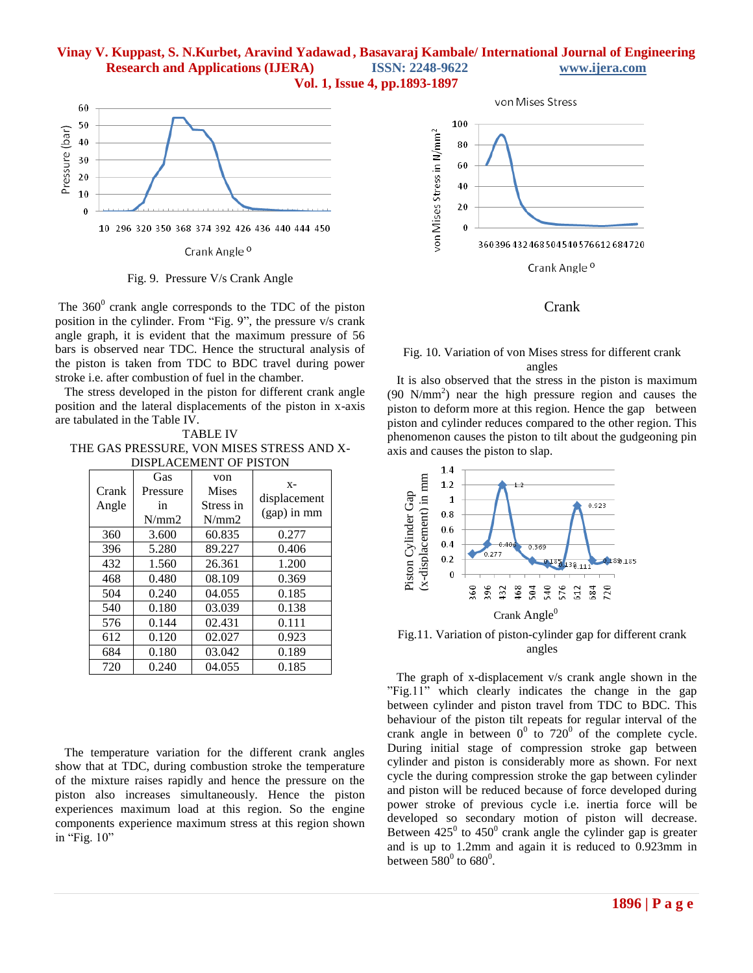## **Vinay V. Kuppast, S. N.Kurbet, Aravind Yadawad , Basavaraj Kambale/ International Journal of Engineering Research and Applications (IJERA) ISSN: 2248-9622 www.ijera.com**





Fig. 9. Pressure V/s Crank Angle

The  $360^{\circ}$  crank angle corresponds to the TDC of the piston position in the cylinder. From "Fig. 9", the pressure v/s crank angle graph, it is evident that the maximum pressure of 56 bars is observed near TDC. Hence the structural analysis of the piston is taken from TDC to BDC travel during power stroke i.e. after combustion of fuel in the chamber.

 The stress developed in the piston for different crank angle position and the lateral displacements of the piston in x-axis are tabulated in the Table IV.

TABLE IV THE GAS PRESSURE, VON MISES STRESS AND X-DISPLACEMENT OF PISTON

| Crank<br>Angle | Gas<br>Pressure<br>in<br>N/mm2 | von<br><b>Mises</b><br>Stress in<br>N/mm2 | $X -$<br>displacement<br>(gap) in mm |
|----------------|--------------------------------|-------------------------------------------|--------------------------------------|
| 360            | 3.600                          | 60.835                                    | 0.277                                |
| 396            | 5.280                          | 89.227                                    | 0.406                                |
| 432            | 1.560                          | 26.361                                    | 1.200                                |
| 468            | 0.480                          | 08.109                                    | 0.369                                |
| 504            | 0.240                          | 04.055                                    | 0.185                                |
| 540            | 0.180                          | 03.039                                    | 0.138                                |
| 576            | 0.144                          | 02.431                                    | 0.111                                |
| 612            | 0.120                          | 02.027                                    | 0.923                                |
| 684            | 0.180                          | 03.042                                    | 0.189                                |
| 720            | 0.240                          | 04.055                                    | 0.185                                |

 The temperature variation for the different crank angles show that at TDC, during combustion stroke the temperature of the mixture raises rapidly and hence the pressure on the piston also increases simultaneously. Hence the piston experiences maximum load at this region. So the engine components experience maximum stress at this region shown in "Fig. 10"



Crank

### Fig. 10. Variation of von Mises stress for different crank angles

 It is also observed that the stress in the piston is maximum (90 N/mm<sup>2</sup> ) near the high pressure region and causes the piston to deform more at this region. Hence the gap between piston and cylinder reduces compared to the other region. This phenomenon causes the piston to tilt about the gudgeoning pin axis and causes the piston to slap.



Fig.11. Variation of piston-cylinder gap for different crank angles

 The graph of x-displacement v/s crank angle shown in the "Fig.11" which clearly indicates the change in the gap between cylinder and piston travel from TDC to BDC. This behaviour of the piston tilt repeats for regular interval of the crank angle in between  $0^0$  to 720<sup>0</sup> of the complete cycle. During initial stage of compression stroke gap between cylinder and piston is considerably more as shown. For next cycle the during compression stroke the gap between cylinder and piston will be reduced because of force developed during power stroke of previous cycle i.e. inertia force will be developed so secondary motion of piston will decrease. Between  $425^{\circ}$  to  $450^{\circ}$  crank angle the cylinder gap is greater and is up to 1.2mm and again it is reduced to 0.923mm in between  $580^0$  to  $680^0$ .